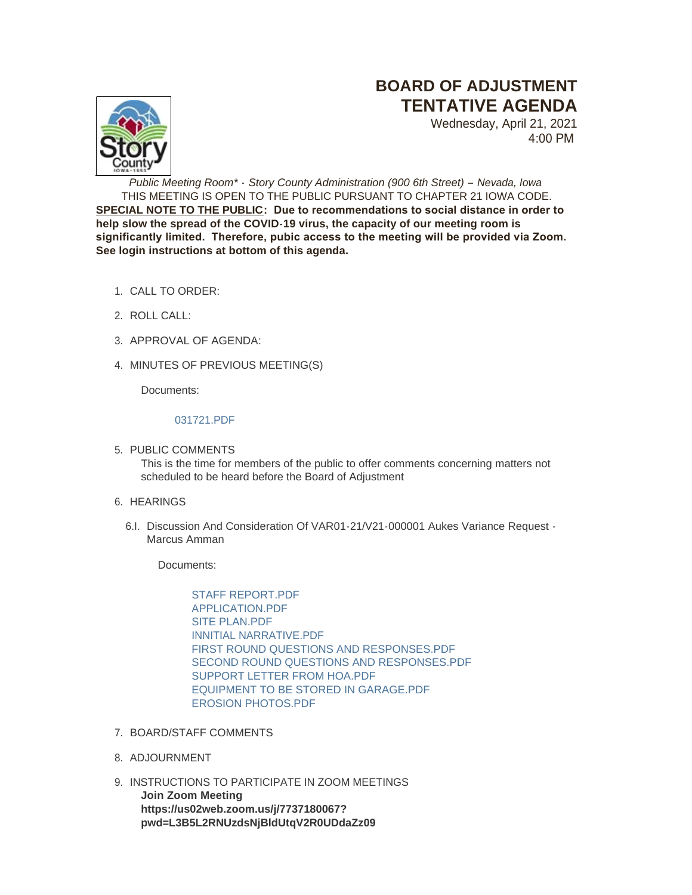# **BOARD OF ADJUSTMENT TENTATIVE AGENDA**



Wednesday, April 21, 2021 4:00 PM

*Public Meeting Room\* - Story County Administration (900 6th Street) – Nevada, Iowa* THIS MEETING IS OPEN TO THE PUBLIC PURSUANT TO CHAPTER 21 IOWA CODE. **SPECIAL NOTE TO THE PUBLIC: Due to recommendations to social distance in order to help slow the spread of the COVID-19 virus, the capacity of our meeting room is significantly limited. Therefore, pubic access to the meeting will be provided via Zoom. See login instructions at bottom of this agenda.**

- CALL TO ORDER: 1.
- 2. ROLL CALL:
- 3. APPROVAL OF AGENDA:
- 4. MINUTES OF PREVIOUS MEETING(S)

Documents:

## [031721.PDF](http://www.storycountyiowa.gov/AgendaCenter/ViewFile/Item/20865?fileID=15848)

- 5. PUBLIC COMMENTS This is the time for members of the public to offer comments concerning matters not scheduled to be heard before the Board of Adjustment
- 6. HEARINGS
	- 6.I. Discussion And Consideration Of VAR01-21/V21-000001 Aukes Variance Request -Marcus Amman

Documents:

STAFF REPORT PDF [APPLICATION.PDF](http://www.storycountyiowa.gov/AgendaCenter/ViewFile/Item/20866?fileID=15851) [SITE PLAN.PDF](http://www.storycountyiowa.gov/AgendaCenter/ViewFile/Item/20866?fileID=15855) [INNITIAL NARRATIVE.PDF](http://www.storycountyiowa.gov/AgendaCenter/ViewFile/Item/20866?fileID=15850) [FIRST ROUND QUESTIONS AND RESPONSES.PDF](http://www.storycountyiowa.gov/AgendaCenter/ViewFile/Item/20866?fileID=15853) [SECOND ROUND QUESTIONS AND RESPONSES.PDF](http://www.storycountyiowa.gov/AgendaCenter/ViewFile/Item/20866?fileID=15854) [SUPPORT LETTER FROM HOA.PDF](http://www.storycountyiowa.gov/AgendaCenter/ViewFile/Item/20866?fileID=15856) [EQUIPMENT TO BE STORED IN GARAGE.PDF](http://www.storycountyiowa.gov/AgendaCenter/ViewFile/Item/20866?fileID=15857) [EROSION PHOTOS.PDF](http://www.storycountyiowa.gov/AgendaCenter/ViewFile/Item/20866?fileID=15852)

- 7. BOARD/STAFF COMMENTS
- 8. ADJOURNMENT
- 9. INSTRUCTIONS TO PARTICIPATE IN ZOOM MEETINGS **Join Zoom Meeting https://us02web.zoom.us/j/7737180067? pwd=L3B5L2RNUzdsNjBldUtqV2R0UDdaZz09**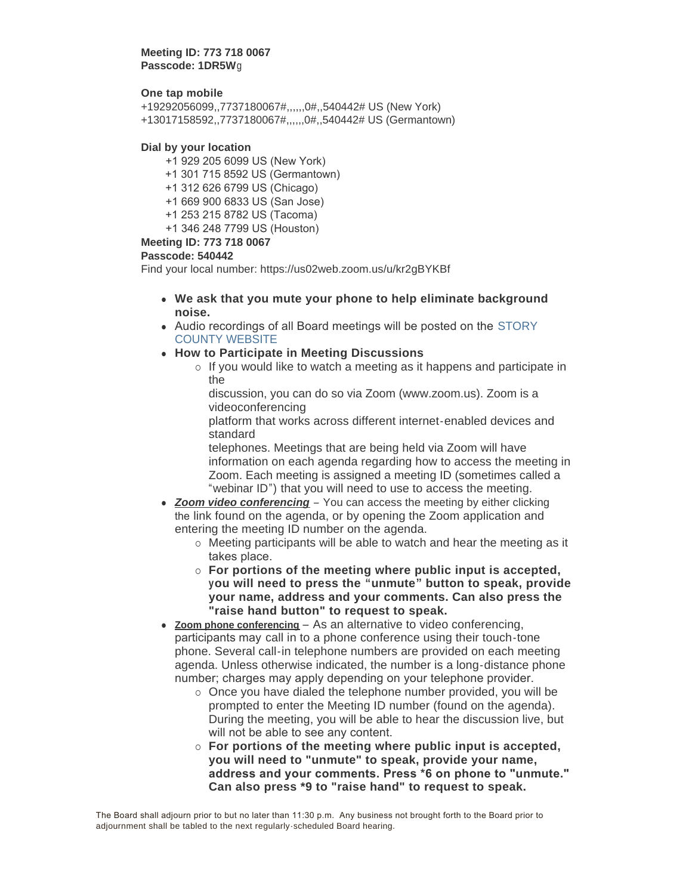**Meeting ID: 773 718 0067 Passcode: 1DR5W**g

### **One tap mobile**

+19292056099,,7737180067#,,,,,,0#,,540442# US (New York) +13017158592,,7737180067#,,,,,,0#,,540442# US (Germantown)

#### **Dial by your location**

- +1 929 205 6099 US (New York)
- +1 301 715 8592 US (Germantown)
- +1 312 626 6799 US (Chicago)
- +1 669 900 6833 US (San Jose)
- +1 253 215 8782 US (Tacoma)
- +1 346 248 7799 US (Houston)

# **Meeting ID: 773 718 0067**

#### **Passcode: 540442**

Find your local number: https://us02web.zoom.us/u/kr2gBYKBf

- <sup>l</sup> **We ask that you mute your phone to help eliminate background noise.**
- Audio recordings of all Board meetings will be posted on the STORY COUNTY WEBSITE
- **How to Participate in Meeting Discussions** 
	- $\circ$  If you would like to watch a meeting as it happens and participate in the

discussion, you can do so via Zoom (www.zoom.us). Zoom is a videoconferencing

platform that works across different internet-enabled devices and standard

telephones. Meetings that are being held via Zoom will have information on each agenda regarding how to access the meeting in Zoom. Each meeting is assigned a meeting ID (sometimes called a "webinar ID") that you will need to use to access the meeting.

- **Zoom video conferencing** You can access the meeting by either clicking the link found on the agenda, or by opening the Zoom application and entering the meeting ID number on the agenda.
	- $\circ$  Meeting participants will be able to watch and hear the meeting as it takes place.
	- ¡ **For portions of the meeting where public input is accepted, you will need to press the "unmute" button to speak, provide your name, address and your comments. Can also press the "raise hand button" to request to speak.**
- Zoom phone conferencing As an alternative to video conferencing. participants may call in to a phone conference using their touch-tone phone. Several call-in telephone numbers are provided on each meeting agenda. Unless otherwise indicated, the number is a long-distance phone number; charges may apply depending on your telephone provider.
	- $\circ$  Once you have dialed the telephone number provided, you will be prompted to enter the Meeting ID number (found on the agenda). During the meeting, you will be able to hear the discussion live, but will not be able to see any content.
	- ¡ **For portions of the meeting where public input is accepted, you will need to "unmute" to speak, provide your name, address and your comments. Press \*6 on phone to "unmute." Can also press \*9 to "raise hand" to request to speak.**